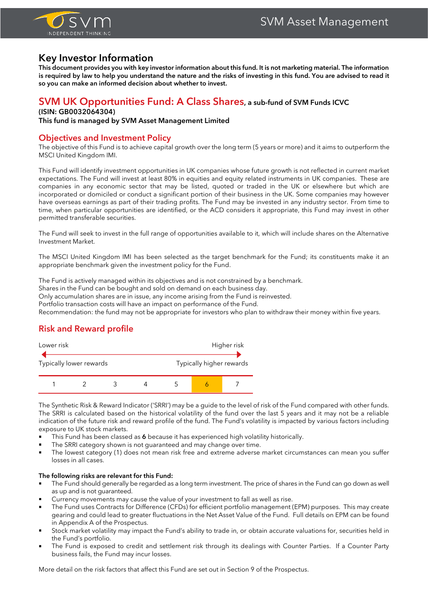

# **Key Investor Information**

**This document provides you with key investor information about this fund. It is not marketing material. The information is required by law to help you understand the nature and the risks of investing in this fund. You are advised to read it so you can make an informed decision about whether to invest.**

# **SVM UK Opportunities Fund: A Class Shares, a sub-fund of SVM Funds ICVC**

#### **(ISIN: GB0032064304)**

**This fund is managed by SVM Asset Management Limited**

### **Objectives and Investment Policy**

The objective of this Fund is to achieve capital growth over the long term (5 years or more) and it aims to outperform the MSCI United Kingdom IMI.

This Fund will identify investment opportunities in UK companies whose future growth is not reflected in current market expectations. The Fund will invest at least 80% in equities and equity related instruments in UK companies. These are companies in any economic sector that may be listed, quoted or traded in the UK or elsewhere but which are incorporated or domiciled or conduct a significant portion of their business in the UK. Some companies may however have overseas earnings as part of their trading profits. The Fund may be invested in any industry sector. From time to time, when particular opportunities are identified, or the ACD considers it appropriate, this Fund may invest in other permitted transferable securities.

The Fund will seek to invest in the full range of opportunities available to it, which will include shares on the Alternative Investment Market.

The MSCI United Kingdom IMI has been selected as the target benchmark for the Fund; its constituents make it an appropriate benchmark given the investment policy for the Fund.

The Fund is actively managed within its objectives and is not constrained by a benchmark.

Shares in the Fund can be bought and sold on demand on each business day.

Only accumulation shares are in issue, any income arising from the Fund is reinvested.

Portfolio transaction costs will have an impact on performance of the Fund.

Recommendation: the fund may not be appropriate for investors who plan to withdraw their money within five years.

## **Risk and Reward profile**



The Synthetic Risk & Reward Indicator ('SRRI') may be a guide to the level of risk of the Fund compared with other funds. The SRRI is calculated based on the historical volatility of the fund over the last 5 years and it may not be a reliable indication of the future risk and reward profile of the fund. The Fund's volatility is impacted by various factors including exposure to UK stock markets.

- This Fund has been classed as 6 because it has experienced high volatility historically.
- The SRRI category shown is not guaranteed and may change over time.
- The lowest category (1) does not mean risk free and extreme adverse market circumstances can mean you suffer losses in all cases.

#### **The following risks are relevant for this Fund:**

- The Fund should generally be regarded as a long term investment. The price of shares in the Fund can go down as well as up and is not guaranteed.
- Currency movements may cause the value of your investment to fall as well as rise.
- The Fund uses Contracts for Difference (CFDs) for efficient portfolio management (EPM) purposes. This may create gearing and could lead to greater fluctuations in the Net Asset Value of the Fund. Full details on EPM can be found in Appendix A of the Prospectus.
- Stock market volatility may impact the Fund's ability to trade in, or obtain accurate valuations for, securities held in the Fund's portfolio.
- The Fund is exposed to credit and settlement risk through its dealings with Counter Parties. If a Counter Party business fails, the Fund may incur losses.

More detail on the risk factors that affect this Fund are set out in Section 9 of the Prospectus.